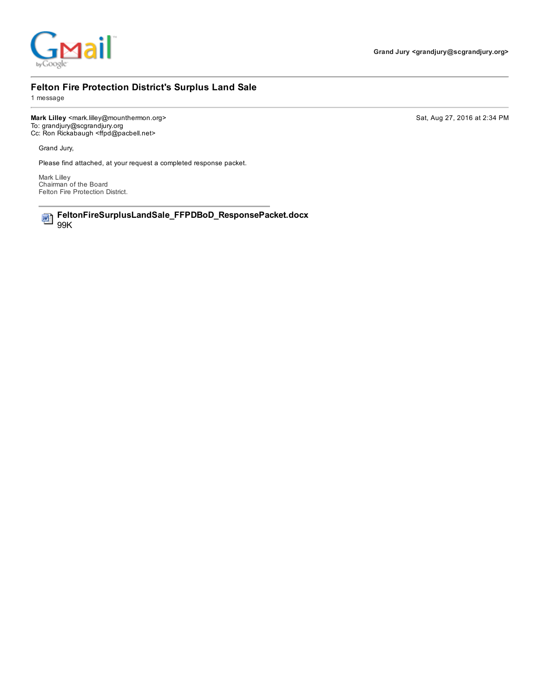

### Felton Fire Protection District's Surplus Land Sale

1 message

Mark Lilley <mark.lilley@mounthermon.org> Sat, Aug 27, 2016 at 2:34 PM To: grandjury@scgrandjury.org Cc: Ron Rickabaugh <ffpd@pacbell.net>

Grand Jury,

Please find attached, at your request a completed response packet.

Mark Lilley Chairman of the Board Felton Fire Protection District.

FeltonFireSurplusLandSale\_FFPDBoD\_ResponsePacket.docx 四 99K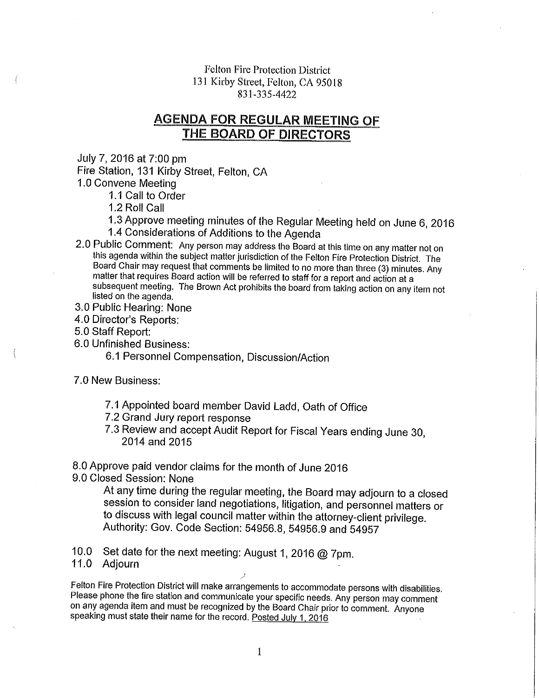**Felton Fire Protection District** 131 Kirby Street, Felton, CA 95018 831-335-4422

## **AGENDA FOR REGULAR MEETING OF** THE BOARD OF DIRECTORS

July 7, 2016 at 7:00 pm

Fire Station, 131 Kirby Street, Felton, CA

1.0 Convene Meeting

1.1 Call to Order

1.2 Roll Call

1.3 Approve meeting minutes of the Regular Meeting held on June 6, 2016 1.4 Considerations of Additions to the Agenda

- 2.0 Public Comment: Any person may address the Board at this time on any matter not on this agenda within the subject matter jurisdiction of the Felton Fire Protection District. The Board Chair may request that comments be limited to no more than three (3) minutes. Any matter that requires Board action will be referred to staff for a report and action at a subsequent meeting. The Brown Act prohibits the board from taking action on any item not listed on the agenda.
- 3.0 Public Hearing: None
- 4.0 Director's Reports:
- 5.0 Staff Report:
- 6.0 Unfinished Business:

6.1 Personnel Compensation, Discussion/Action

- 7.0 New Business:
	- 7.1 Appointed board member David Ladd, Oath of Office
	- 7.2 Grand Jury report response
	- 7.3 Review and accept Audit Report for Fiscal Years ending June 30, 2014 and 2015

8.0 Approve paid vendor claims for the month of June 2016

9.0 Closed Session: None

At any time during the regular meeting, the Board may adjourn to a closed session to consider land negotiations, litigation, and personnel matters or to discuss with legal council matter within the attorney-client privilege. Authority: Gov. Code Section: 54956.8, 54956.9 and 54957

10.0 Set date for the next meeting: August 1, 2016 @ 7pm.

### 11.0 Adjourn

Felton Fire Protection District will make arrangements to accommodate persons with disabilities. Please phone the fire station and communicate your specific needs. Any person may comment on any agenda item and must be recognized by the Board Chair prior to comment. Anyone speaking must state their name for the record. Posted July 1, 2016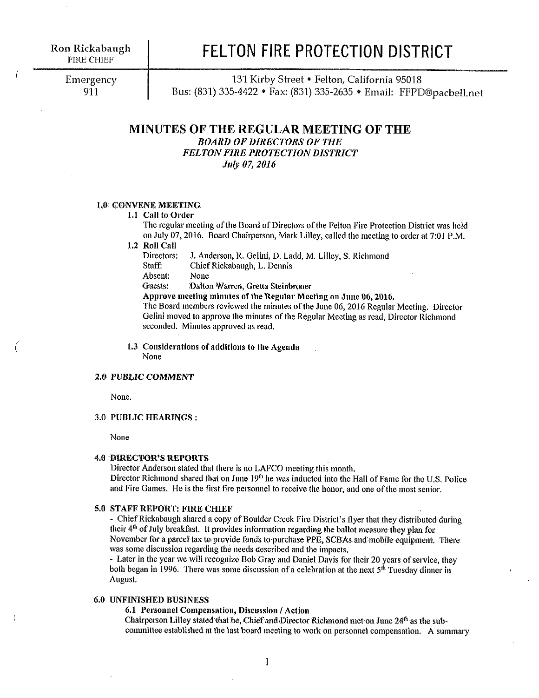## FELTON FIRE PROTECTION DISTRICT

Emergency 911

131 Kirby Street • Felton, California 95018 Bus: (831) 335-4422 • Fax: (831) 335-2635 • Email: FFPD@pacbell.net

### MINUTES OF THE REGULAR MEETING OF THE **BOARD OF DIRECTORS OF THE FELTON FIRE PROTECTION DISTRICT** July 07, 2016

### 1.0 CONVENE MEETING

### 1.1 Call to Order

The regular meeting of the Board of Directors of the Felton Fire Protection District was held on July 07, 2016. Board Chairperson, Mark Lilley, called the meeting to order at 7:01 P.M.

1.2 Roll Call

Directors: J. Anderson, R. Gelini, D. Ladd, M. Lilley, S. Richmond

Staff: Chief Rickabaugh, L. Dennis

Absent: None

Guests: Dalton Warren, Gretta Steinbruner

Approve meeting minutes of the Regular Meeting on June 06, 2016.

The Board members reviewed the minutes of the June 06, 2016 Regular Meeting. Director Gelini moved to approve the minutes of the Regular Meeting as read, Director Richmond seconded. Minutes approved as read.

1.3 Considerations of additions to the Agenda None

#### **2.0 PUBLIC COMMENT**

None.

### 3.0 PUBLIC HEARINGS:

None

#### **4.0 DIRECTOR'S REPORTS**

Director Anderson stated that there is no LAFCO meeting this month.

Director Richmond shared that on June 19<sup>th</sup> he was inducted into the Hall of Fame for the U.S. Police and Fire Games. He is the first fire personnel to receive the honor, and one of the most senior.

### 5.0 STAFF REPORT: FIRE CHIEF

- Chief Rickabaugh shared a copy of Boulder Creek Fire District's flyer that they distributed during their  $4<sup>th</sup>$  of July breakfast. It provides information regarding the ballot measure they plan for November for a parcel tax to provide funds to purchase PPE, SCBAs and mobile equipment. There was some discussion regarding the needs described and the impacts.

- Later in the year we will recognize Bob Gray and Daniel Davis for their 20 years of service, they both began in 1996. There was some discussion of a celebration at the next 5<sup>th</sup> Tuesday dinner in August.

#### **6.0 UNFINISHED BUSINESS**

6.1 Personnel Compensation, Discussion / Action

Chairperson Lilley stated that he, Chief and Director Richmond met on June 24<sup>th</sup> as the subcommittee established at the last board meeting to work on personnel compensation. A summary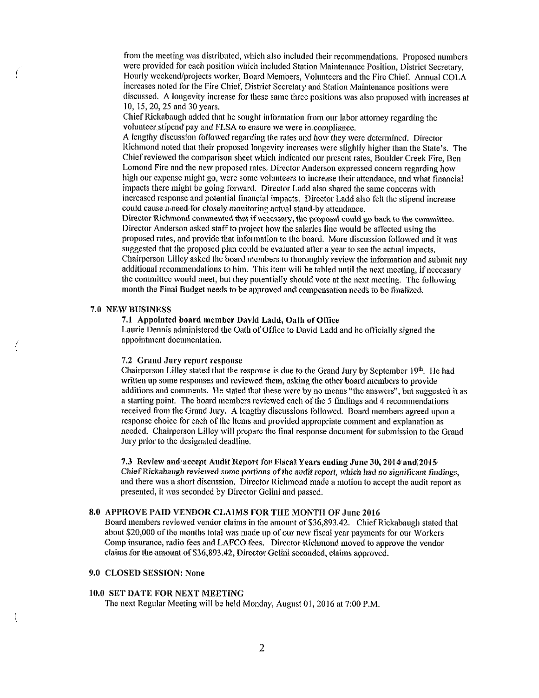from the meeting was distributed, which also included their recommendations. Proposed numbers were provided for each position which included Station Maintenance Position, District Secretary, Hourly weekend/projects worker, Board Members, Volunteers and the Fire Chief, Annual COLA increases noted for the Fire Chief, District Secretary and Station Maintenance positions were discussed. A longevity increase for these same three positions was also proposed with increases at 10, 15, 20, 25 and 30 years.

Chief Rickabaugh added that he sought information from our labor attorney regarding the volunteer stipend pay and FLSA to ensure we were in compliance.

A lengthy discussion followed regarding the rates and how they were determined. Director Richmond noted that their proposed longevity increases were slightly higher than the State's. The Chief reviewed the comparison sheet which indicated our present rates, Boulder Creek Fire, Ben Lomond Fire and the new proposed rates. Director Anderson expressed concern regarding how high our expense might go, were some volunteers to increase their attendance, and what financial impacts there might be going forward. Director Ladd also shared the same concerns with increased response and potential financial impacts. Director Ladd also felt the stipend increase could cause a need for closely monitoring actual stand-by attendance.

Director Richmond commented that if necessary, the proposal could go back to the committee. Director Anderson asked staff to project how the salaries line would be affected using the proposed rates, and provide that information to the board. More discussion followed and it was suggested that the proposed plan could be evaluated after a year to see the actual impacts. Chairperson Lilley asked the board members to thoroughly review the information and submit any additional recommendations to him. This item will be tabled until the next meeting, if necessary the committee would meet, but they potentially should vote at the next meeting. The following month the Final Budget needs to be approved and compensation needs to be finalized.

### 7.0 NEW BUSINESS

7.1 Appointed board member David Ladd, Oath of Office

Laurie Dennis administered the Oath of Office to David Ladd and he officially signed the appointment documentation.

#### 7.2 Grand Jury report response

Chairperson Lilley stated that the response is due to the Grand Jury by September 19<sup>th</sup>. He had written up some responses and reviewed them, asking the other board members to provide additions and comments. He stated that these were by no means "the answers", but suggested it as a starting point. The board members reviewed each of the 5 findings and 4 recommendations received from the Grand Jury. A lengthy discussions followed. Board members agreed upon a response choice for each of the items and provided appropriate comment and explanation as needed. Chairperson Lilley will prepare the final response document for submission to the Grand Jury prior to the designated deadline.

7.3 Review and accept Audit Report for Fiscal Years ending June 30, 2014 and 2015 Chief Rickabaugh reviewed some portions of the audit report, which had no significant findings, and there was a short discussion. Director Richmond made a motion to accept the audit report as presented, it was seconded by Director Gelini and passed.

#### 8.0 APPROVE PAID VENDOR CLAIMS FOR THE MONTH OF June 2016

Board members reviewed vendor claims in the amount of \$36,893.42. Chief Rickabaugh stated that about \$20,000 of the months total was made up of our new fiscal year payments for our Workers Comp insurance, radio fees and LAFCO fees. Director Richmond moved to approve the vendor claims for the amount of \$36,893.42, Director Gelini seconded, claims approved.

### 9.0 CLOSED SESSION: None

### 10.0 SET DATE FOR NEXT MEETING

The next Regular Meeting will be held Monday, August 01, 2016 at 7:00 P.M.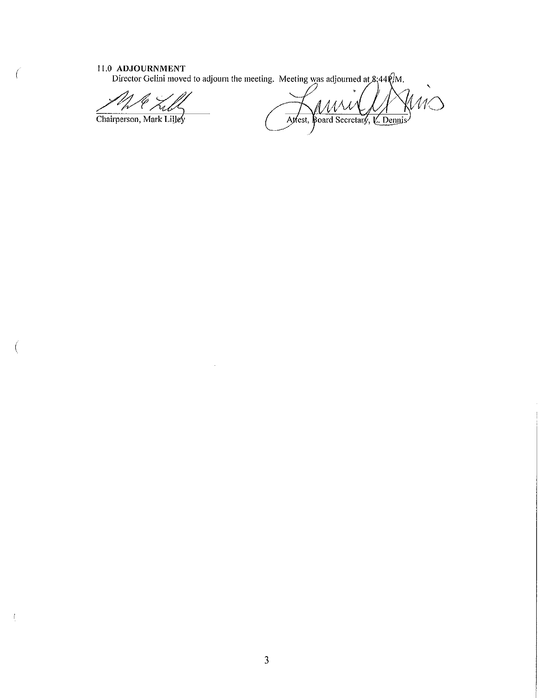$\big($ 

 $\int_{\mathbb{R}^2}$ 

11.0 ADJOURNMENT<br>Director Gelini moved to adjourn the meeting. Meeting was adjourned at  $8\frac{1}{4}44\frac{6}{10}$ .

 $\bar{z}$ 

Chairperson, Mark Lilley

 $M\bigcirc$ Attest, Board Secretary, V. Dennis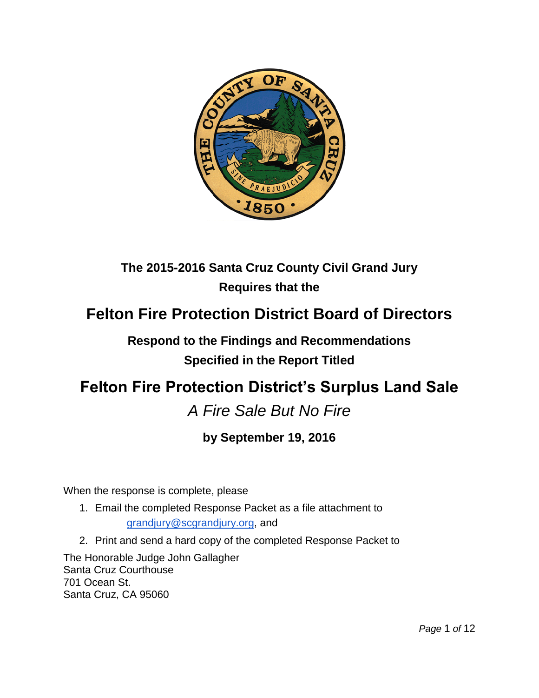

## **The 2015-2016 Santa Cruz County Civil Grand Jury Requires that the**

## **Felton Fire Protection District Board of Directors**

## **Respond to the Findings and Recommendations Specified in the Report Titled**

# **Felton Fire Protection District's Surplus Land Sale**

## *A Fire Sale But No Fire*

## **by September 19, 2016**

When the response is complete, please

- 1. Email the completed Response Packet as a file attachment to [grandjury@scgrandjury.org,](mailto:grandjury@scgrandjury.org) and
- 2. Print and send a hard copy of the completed Response Packet to

The Honorable Judge John Gallagher Santa Cruz Courthouse 701 Ocean St. Santa Cruz, CA 95060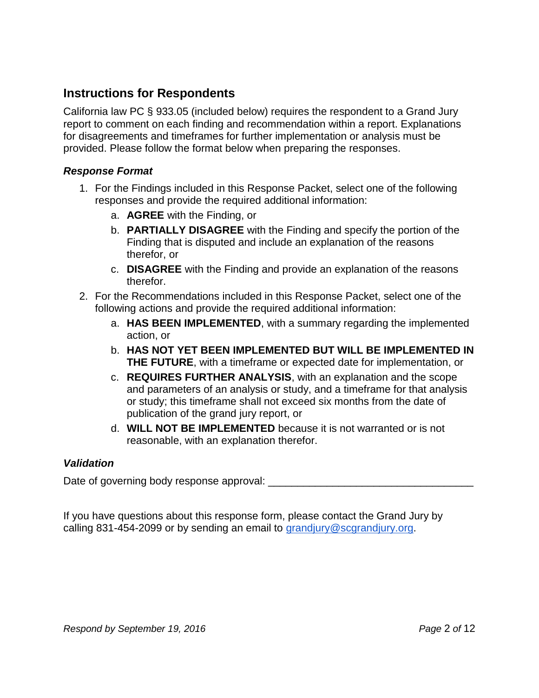## **Instructions for Respondents**

California law PC § 933.05 (included below) requires the respondent to a Grand Jury report to comment on each finding and recommendation within a report. Explanations for disagreements and timeframes for further implementation or analysis must be provided. Please follow the format below when preparing the responses.

### *Response Format*

- 1. For the Findings included in this Response Packet, select one of the following responses and provide the required additional information:
	- a. **AGREE** with the Finding, or
	- b. **PARTIALLY DISAGREE** with the Finding and specify the portion of the Finding that is disputed and include an explanation of the reasons therefor, or
	- c. **DISAGREE** with the Finding and provide an explanation of the reasons therefor.
- 2. For the Recommendations included in this Response Packet, select one of the following actions and provide the required additional information:
	- a. **HAS BEEN IMPLEMENTED**, with a summary regarding the implemented action, or
	- b. **HAS NOT YET BEEN IMPLEMENTED BUT WILL BE IMPLEMENTED IN THE FUTURE**, with a timeframe or expected date for implementation, or
	- c. **REQUIRES FURTHER ANALYSIS**, with an explanation and the scope and parameters of an analysis or study, and a timeframe for that analysis or study; this timeframe shall not exceed six months from the date of publication of the grand jury report, or
	- d. **WILL NOT BE IMPLEMENTED** because it is not warranted or is not reasonable, with an explanation therefor.

### *Validation*

Date of governing body response approval:

If you have questions about this response form, please contact the Grand Jury by calling 831-454-2099 or by sending an email to [grandjury@scgrandjury.org.](mailto:grandjury@scgrandjury.org)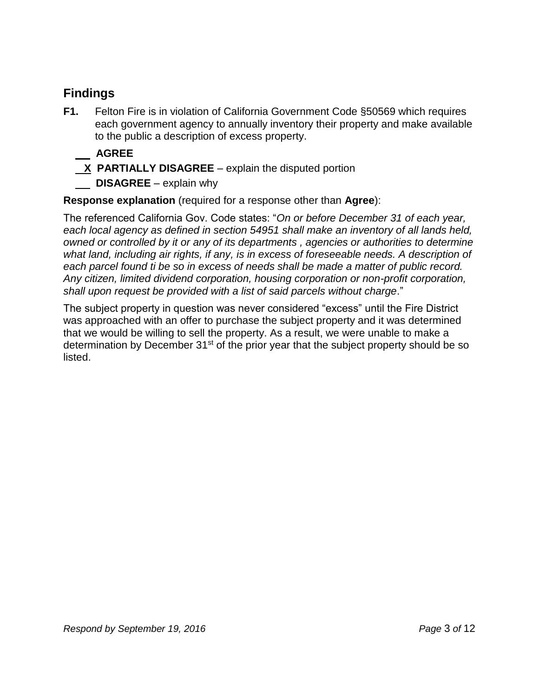## **Findings**

- **F1.** Felton Fire is in violation of California Government Code §50569 which requires each government agency to annually inventory their property and make available to the public a description of excess property.
	- **AGREE**
	- **X PARTIALLY DISAGREE** explain the disputed portion
	- **DISAGREE** explain why

**Response explanation** (required for a response other than **Agree**):

The referenced California Gov. Code states: "*On or before December 31 of each year, each local agency as defined in section 54951 shall make an inventory of all lands held, owned or controlled by it or any of its departments , agencies or authorities to determine what land, including air rights, if any, is in excess of foreseeable needs. A description of each parcel found ti be so in excess of needs shall be made a matter of public record. Any citizen, limited dividend corporation, housing corporation or non-profit corporation, shall upon request be provided with a list of said parcels without charge*."

The subject property in question was never considered "excess" until the Fire District was approached with an offer to purchase the subject property and it was determined that we would be willing to sell the property. As a result, we were unable to make a determination by December 31<sup>st</sup> of the prior year that the subject property should be so listed.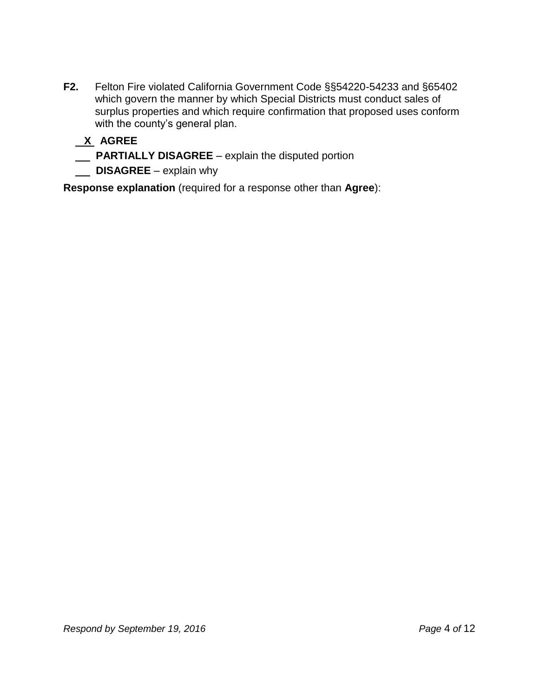**F2.** Felton Fire violated California Government Code §§54220-54233 and §65402 which govern the manner by which Special Districts must conduct sales of surplus properties and which require confirmation that proposed uses conform with the county's general plan.

## **X AGREE**

 **PARTIALLY DISAGREE** – explain the disputed portion

**DISAGREE** – explain why

**Response explanation** (required for a response other than **Agree**):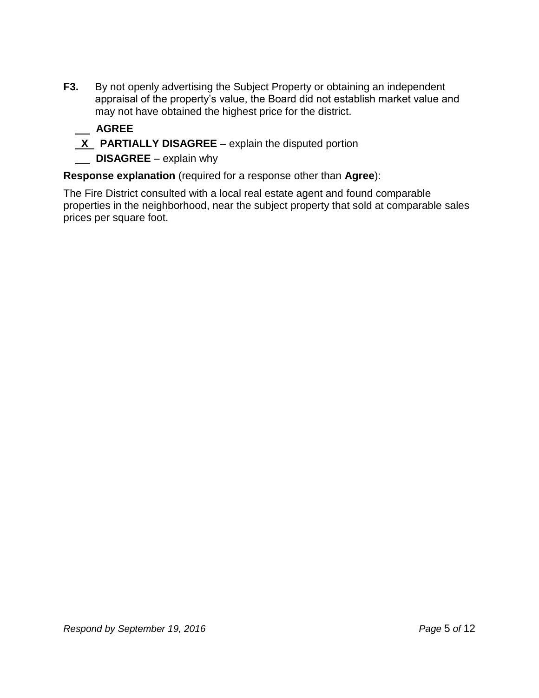**F3.** By not openly advertising the Subject Property or obtaining an independent appraisal of the property's value, the Board did not establish market value and may not have obtained the highest price for the district.

## **AGREE**

- **X** PARTIALLY DISAGREE explain the disputed portion
- **DISAGREE** explain why

**Response explanation** (required for a response other than **Agree**):

The Fire District consulted with a local real estate agent and found comparable properties in the neighborhood, near the subject property that sold at comparable sales prices per square foot.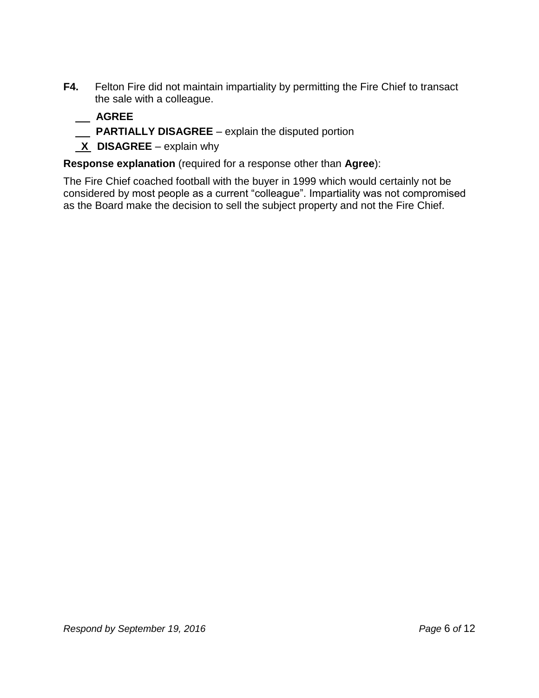- **F4.** Felton Fire did not maintain impartiality by permitting the Fire Chief to transact the sale with a colleague.
	- **AGREE**
	- **PARTIALLY DISAGREE**  explain the disputed portion
	- **X DISAGREE** explain why

**Response explanation** (required for a response other than **Agree**):

The Fire Chief coached football with the buyer in 1999 which would certainly not be considered by most people as a current "colleague". Impartiality was not compromised as the Board make the decision to sell the subject property and not the Fire Chief.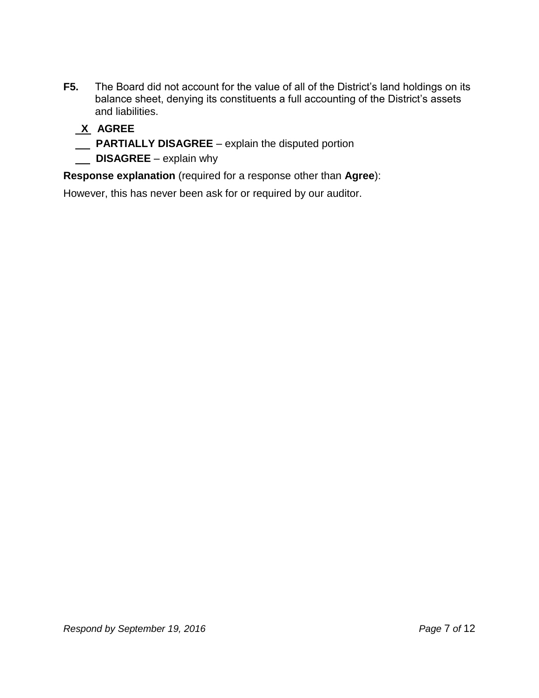- **F5.** The Board did not account for the value of all of the District's land holdings on its balance sheet, denying its constituents a full accounting of the District's assets and liabilities.
	- **X AGREE**
	- **PARTIALLY DISAGREE** explain the disputed portion
	- **DISAGREE** explain why

**Response explanation** (required for a response other than **Agree**):

However, this has never been ask for or required by our auditor.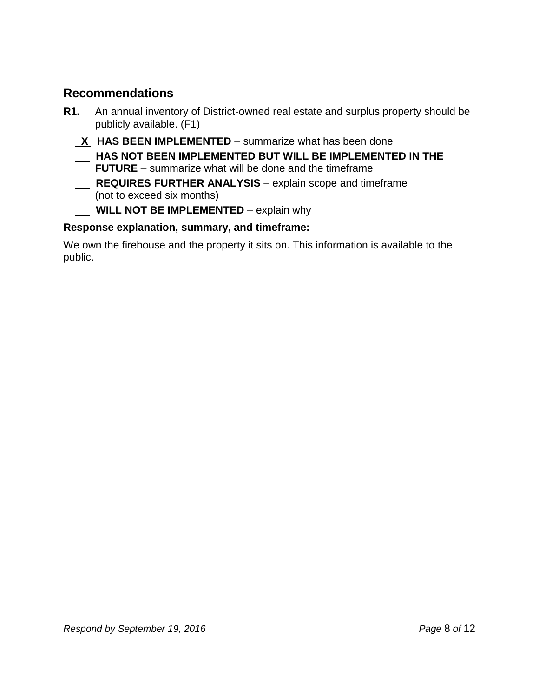## **Recommendations**

- **R1.** An annual inventory of District-owned real estate and surplus property should be publicly available. (F1)
	- **X HAS BEEN IMPLEMENTED**  summarize what has been done
	- **HAS NOT BEEN IMPLEMENTED BUT WILL BE IMPLEMENTED IN THE FUTURE** – summarize what will be done and the timeframe
	- **REQUIRES FURTHER ANALYSIS** explain scope and timeframe (not to exceed six months)
	- **WILL NOT BE IMPLEMENTED** explain why

## **Response explanation, summary, and timeframe:**

We own the firehouse and the property it sits on. This information is available to the public.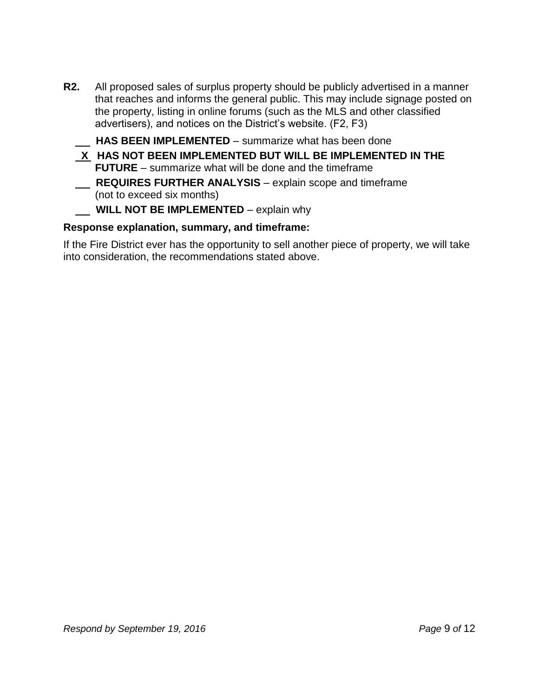**R2.** All proposed sales of surplus property should be publicly advertised in a manner that reaches and informs the general public. This may include signage posted on the property, listing in online forums (such as the MLS and other classified advertisers), and notices on the District's website. (F2, F3)

 **HAS BEEN IMPLEMENTED** – summarize what has been done

**X HAS NOT BEEN IMPLEMENTED BUT WILL BE IMPLEMENTED IN THE FUTURE** – summarize what will be done and the timeframe  **REQUIRES FURTHER ANALYSIS** – explain scope and timeframe (not to exceed six months)

### **WILL NOT BE IMPLEMENTED** – explain why

### **Response explanation, summary, and timeframe:**

If the Fire District ever has the opportunity to sell another piece of property, we will take into consideration, the recommendations stated above.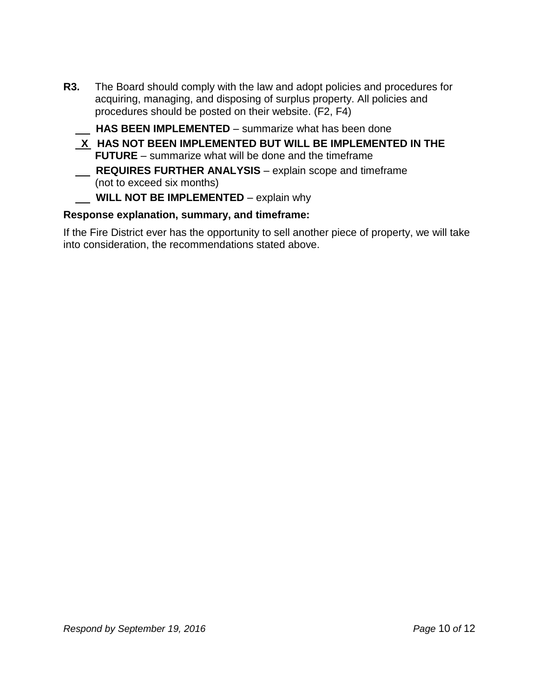**R3.** The Board should comply with the law and adopt policies and procedures for acquiring, managing, and disposing of surplus property. All policies and procedures should be posted on their website. (F2, F4)

 **HAS BEEN IMPLEMENTED** – summarize what has been done

- **X HAS NOT BEEN IMPLEMENTED BUT WILL BE IMPLEMENTED IN THE FUTURE** – summarize what will be done and the timeframe **REQUIRES FURTHER ANALYSIS** – explain scope and timeframe (not to exceed six months)
- **WILL NOT BE IMPLEMENTED** explain why

### **Response explanation, summary, and timeframe:**

If the Fire District ever has the opportunity to sell another piece of property, we will take into consideration, the recommendations stated above.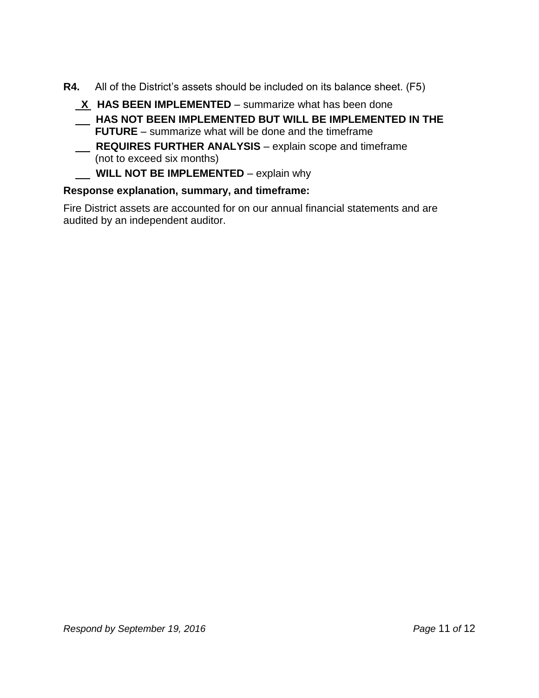- **R4.** All of the District's assets should be included on its balance sheet. (F5)
	- **X** HAS BEEN IMPLEMENTED summarize what has been done
	- **HAS NOT BEEN IMPLEMENTED BUT WILL BE IMPLEMENTED IN THE FUTURE** – summarize what will be done and the timeframe
	- **REQUIRES FURTHER ANALYSIS** explain scope and timeframe (not to exceed six months)
	- **WILL NOT BE IMPLEMENTED** explain why

### **Response explanation, summary, and timeframe:**

Fire District assets are accounted for on our annual financial statements and are audited by an independent auditor.